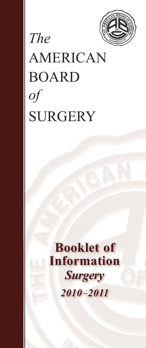

# AMERICAN BOARD *of* **SURGERY**

*The*

# **Booklet of Information** *Surgery 2010 –2011*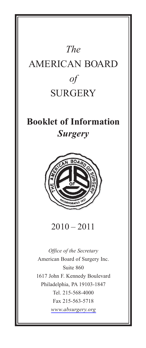# *The* AMERICAN BOARD *of* **SURGERY**

# **Booklet of Information** *Surgery*



 $2010 - 2011$ 

*Office of the Secretary* American Board of Surgery Inc. Suite 860 1617 John F. Kennedy Boulevard Philadelphia, PA 19103-1847 Tel. 215-568-4000 Fax 215-563-5718 *[www.absurgery.org](http://www.absurgery.org)*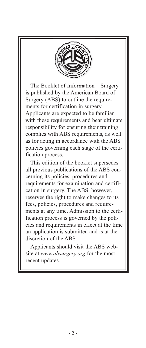

The Booklet of Information – Surgery is published by the American Board of Surgery (ABS) to outline the requirements for certification in surgery. Applicants are expected to be familiar with these requirements and bear ultimate responsibility for ensuring their training complies with ABS requirements, as well as for acting in accordance with the ABS policies governing each stage of the certification process.

This edition of the booklet supersedes all previous publications of the ABS concerning its policies, procedures and requirements for examination and certification in surgery. The ABS, however, reserves the right to make changes to its fees, policies, procedures and requirements at any time. Admission to the certification process is governed by the policies and requirements in effect at the time an application is submitted and is at the discretion of the ABS.

Applicants should visit the ABS website at *[www.absurgery.org](http://www.absurgery.org)* for the most recent updates.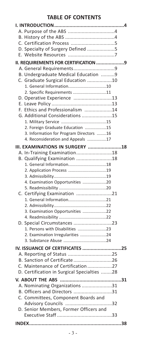# **TABLE OF CONTENTS**

| D. Specialty of Surgery Defined 5                        |  |
|----------------------------------------------------------|--|
|                                                          |  |
| II. REQUIREMENTS FOR CERTIFICATION 9                     |  |
|                                                          |  |
| B. Undergraduate Medical Education 9                     |  |
| C. Graduate Surgical Education 10                        |  |
| 1. General Information10                                 |  |
| 2. Specific Requirements 11                              |  |
| D. Operative Experience 13                               |  |
|                                                          |  |
| F. Ethics and Professionalism 14                         |  |
| G. Additional Considerations 15                          |  |
| 2. Foreign Graduate Education 15                         |  |
| 3. Information for Program Directors 16                  |  |
| 4. Reconsideration and Appeals 17                        |  |
|                                                          |  |
| III. EXAMINATIONS IN SURGERY 18                          |  |
| A. In-Training Examination18                             |  |
| B. Qualifying Examination 18<br>1. General Information18 |  |
| 2. Application Process 19                                |  |
|                                                          |  |
| 4. Examination Opportunities 20                          |  |
|                                                          |  |
| C. Certifying Examination 21                             |  |
| 1. General Information21                                 |  |
|                                                          |  |
| 3. Examination Opportunities 22                          |  |
|                                                          |  |
| D. Special Circumstances 23                              |  |
| 1. Persons with Disabilities 23                          |  |
| 2. Examination Irregularities 24                         |  |
|                                                          |  |
| IV. ISSUANCE OF CERTIFICATES 25                          |  |
| A. Reporting of Status 25                                |  |
| B. Sanction of Certificate 26                            |  |
| C. Maintenance of Certification27                        |  |
| D. Certification in Surgical Specialties 28              |  |
|                                                          |  |
| A. Nominating Organizations 31                           |  |
| B. Officers and Directors 31                             |  |
| C. Committees, Component Boards and                      |  |
| Advisory Councils 32                                     |  |
| D. Senior Members, Former Officers and                   |  |
|                                                          |  |
|                                                          |  |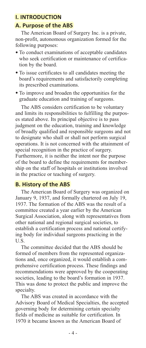# **I. INTRODUCTION**

#### **A. Purpose of the ABS**

The American Board of Surgery Inc. is a private, non-profit, autonomous organization formed for the following purposes:

- To conduct examinations of acceptable candidates who seek certification or maintenance of certification by the board.
- To issue certificates to all candidates meeting the board's requirements and satisfactorily completing its prescribed examinations.
- To improve and broaden the opportunities for the graduate education and training of surgeons.

The ABS considers certification to be voluntary and limits its responsibilities to fulfilling the purposes stated above. Its principal objective is to pass judgment on the education, training and knowledge of broadly qualified and responsible surgeons and not to designate who shall or shall not perform surgical operations. It is not concerned with the attainment of special recognition in the practice of surgery. Furthermore, it is neither the intent nor the purpose of the board to define the requirements for membership on the staff of hospitals or institutions involved in the practice or teaching of surgery.

#### **B. History of the ABS**

The American Board of Surgery was organized on January 9, 1937, and formally chartered on July 19, 1937. The formation of the ABS was the result of a committee created a year earlier by the American Surgical Association, along with representatives from other national and regional surgical societies, to establish a certification process and national certifying body for individual surgeons practicing in the U.S.

The committee decided that the ABS should be formed of members from the represented organizations and, once organized, it would establish a comprehensive certification process. These findings and recommendations were approved by the cooperating societies, leading to the board's formation in 1937. This was done to protect the public and improve the specialty.

The ABS was created in accordance with the Advisory Board of Medical Specialties, the accepted governing body for determining certain specialty fields of medicine as suitable for certification. In 1970 it became known as the American Board of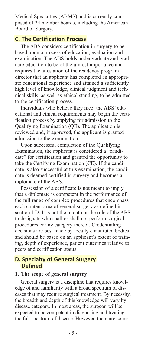Medical Specialties (ABMS) and is currently composed of 24 member boards, including the American Board of Surgery.

# **C. The Certification Process**

The ABS considers certification in surgery to be based upon a process of education, evaluation and examination. The ABS holds undergraduate and graduate education to be of the utmost importance and requires the attestation of the residency program director that an applicant has completed an appropriate educational experience and attained a sufficiently high level of knowledge, clinical judgment and technical skills, as well as ethical standing, to be admitted to the certification process.

Individuals who believe they meet the ABS' educational and ethical requirements may begin the certification process by applying for admission to the Qualifying Examination (QE). The application is reviewed and, if approved, the applicant is granted admission to the examination.

Upon successful completion of the Qualifying Examination, the applicant is considered a "candidate" for certification and granted the opportunity to take the Certifying Examination (CE). If the candidate is also successful at this examination, the candidate is deemed certified in surgery and becomes a diplomate of the ABS.

Possession of a certificate is not meant to imply that a diplomate is competent in the performance of the full range of complex procedures that encompass each content area of general surgery as defined in section I-D. It is not the intent nor the role of the ABS to designate who shall or shall not perform surgical procedures or any category thereof. Credentialing decisions are best made by locally constituted bodies and should be based on an applicant's extent of training, depth of experience, patient outcomes relative to peers and certification status.

#### **D. Specialty of General Surgery Defined**

#### **1. The scope of general surgery**

General surgery is a discipline that requires knowledge of and familiarity with a broad spectrum of diseases that may require surgical treatment. By necessity, the breadth and depth of this knowledge will vary by disease category. In most areas, the surgeon will be expected to be competent in diagnosing and treating the full spectrum of disease. However, there are some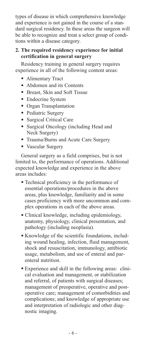types of disease in which comprehensive knowledge and experience is not gained in the course of a standard surgical residency. In these areas the surgeon will be able to recognize and treat a select group of conditions within a disease category.

# **2. The required residency experience for initial certification in general surgery**

Residency training in general surgery requires experience in all of the following content areas:

- Alimentary Tract
- Abdomen and its Contents
- Breast, Skin and Soft Tissue
- Endocrine System
- Organ Transplantation
- Pediatric Surgery
- Surgical Critical Care
- Surgical Oncology (including Head and Neck Surgery)
- Trauma/Burns and Acute Care Surgery
- Vascular Surgery

General surgery as a field comprises, but is not limited to, the performance of operations. Additional expected knowledge and experience in the above areas includes:

- Technical proficiency in the performance of essential operations/procedures in the above areas, plus knowledge, familiarity and in some cases proficiency with more uncommon and complex operations in each of the above areas.
- Clinical knowledge, including epidemiology, anatomy, physiology, clinical presentation, and pathology (including neoplasia).
- Knowledge of the scientific foundations, including wound healing, infection, fluid management, shock and resuscitation, immunology, antibiotic usage, metabolism, and use of enteral and parenteral nutrition.
- Experience and skill in the following areas: clinical evaluation and management, or stabilization and referral, of patients with surgical diseases; management of preoperative, operative and postoperative care; management of comorbidities and complications; and knowledge of appropriate use and interpretation of radiologic and other diagnostic imaging.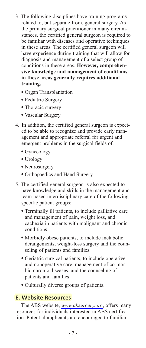- 3. The following disciplines have training programs related to, but separate from, general surgery. As the primary surgical practitioner in many circumstances, the certified general surgeon is required to be familiar with diseases and operative techniques in these areas. The certified general surgeon will have experience during training that will allow for diagnosis and management of a select group of conditions in these areas. **However, comprehensive knowledge and management of conditions in these areas generally requires additional training.**
	- Organ Transplantation
	- Pediatric Surgery
	- Thoracic surgery
	- Vascular Surgery
- 4. In addition, the certified general surgeon is expected to be able to recognize and provide early management and appropriate referral for urgent and emergent problems in the surgical fields of:
	- Gynecology
	- Urology
	- Neurosurgery
	- Orthopaedics and Hand Surgery
- 5. The certified general surgeon is also expected to have knowledge and skills in the management and team-based interdisciplinary care of the following specific patient groups:
	- Terminally ill patients, to include palliative care and management of pain, weight loss, and cachexia in patients with malignant and chronic conditions.
	- Morbidly obese patients, to include metabolic derangements, weight-loss surgery and the counseling of patients and families.
	- Geriatric surgical patients, to include operative and nonoperative care, management of co-morbid chronic diseases, and the counseling of patients and families.
	- Culturally diverse groups of patients.

# **E. Website Resources**

The ABS website, *[www.absurgery.org](http://www.absurgery.org)*, offers many resources for individuals interested in ABS certification. Potential applicants are encouraged to familiar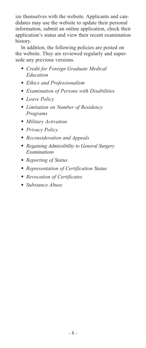ize themselves with the website. Applicants and candidates may use the website to update their personal information, submit an online application, check their application's status and view their recent examination history.

In addition, the following policies are posted on the website. They are reviewed regularly and supersede any previous versions.

- *Credit for Foreign Graduate Medical Education*
- *Ethics and Professionalism*
- *Examination of Persons with Disabilities*
- *Leave Policy*
- *Limitation on Number of Residency Programs*
- *Military Activation*
- *Privacy Policy*
- *Reconsideration and Appeals*
- *Regaining Admissibility to General Surgery Examinations*
- *Reporting of Status*
- *Representation of Certification Status*
- *Revocation of Certificates*
- *Substance Abuse*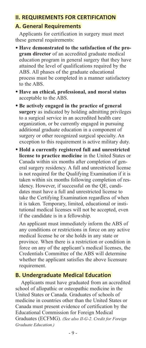# **II. REQUIREMENTS FOR CERTIFICATION**

# **A. General Requirements**

Applicants for certification in surgery must meet these general requirements:

- **Have demonstrated to the satisfaction of the program director** of an accredited graduate medical education program in general surgery that they have attained the level of qualifications required by the ABS. All phases of the graduate educational process must be completed in a manner satisfactory to the ABS.
- **Have an ethical, professional, and moral status** acceptable to the ABS.
- **Be actively engaged in the practice of general surgery** as indicated by holding admitting privileges to a surgical service in an accredited health care organization, or be currently engaged in pursuing additional graduate education in a component of surgery or other recognized surgical specialty. An exception to this requirement is active military duty.
- **Hold a currently registered full and unrestricted license to practice medicine** in the United States or Canada within six months after completion of general surgery residency. A full and unrestricted license is not required for the Qualifying Examination if it is taken within six months following completion of residency. However, if successful on the QE, candidates must have a full and unrestricted license to take the Certifying Examination regardless of when it is taken. Temporary, limited, educational or institutional medical licenses will not be accepted, even if the candidate is in a fellowship.

An applicant must immediately inform the ABS of any conditions or restrictions in force on any active medical license he or she holds in any state or province. When there is a restriction or condition in force on any of the applicant's medical licenses, the Credentials Committee of the ABS will determine whether the applicant satisfies the above licensure requirement.

# **B. Undergraduate Medical Education**

Applicants must have graduated from an accredited school of allopathic or osteopathic medicine in the United States or Canada. Graduates of schools of medicine in countries other than the United States or Canada must present evidence of certification by the Educational Commission for Foreign Medical Graduates (ECFMG). *(See also II-G-2. Credit for Foreign Graduate Education.)*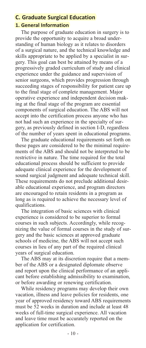# **C. Graduate Surgical Education**

#### **1. General Information**

The purpose of graduate education in surgery is to provide the opportunity to acquire a broad understanding of human biology as it relates to disorders of a surgical nature, and the technical knowledge and skills appropriate to be applied by a specialist in surgery. This goal can best be attained by means of a progressively graded curriculum of study and clinical experience under the guidance and supervision of senior surgeons, which provides progression through succeeding stages of responsibility for patient care up to the final stage of complete management. Major operative experience and independent decision making at the final stage of the program are essential components of surgical education. The ABS will not accept into the certification process anyone who has not had such an experience in the specialty of surgery, as previously defined in section I-D, regardless of the number of years spent in educational programs.

The graduate educational requirements set forth on these pages are considered to be the minimal requirements of the ABS and should not be interpreted to be restrictive in nature. The time required for the total educational process should be sufficient to provide adequate clinical experience for the development of sound surgical judgment and adequate technical skill. These requirements do not preclude additional desirable educational experience, and program directors are encouraged to retain residents in a program as long as is required to achieve the necessary level of qualifications.

The integration of basic sciences with clinical experience is considered to be superior to formal courses in such subjects. Accordingly, while recognizing the value of formal courses in the study of surgery and the basic sciences at approved graduate schools of medicine, the ABS will not accept such courses in lieu of any part of the required clinical years of surgical education.

The ABS may at its discretion require that a member of the ABS or a designated diplomate observe and report upon the clinical performance of an applicant before establishing admissibility to examination, or before awarding or renewing certification.

While residency programs may develop their own vacation, illness and leave policies for residents, one year of approved residency toward ABS requirements must be 52 weeks in duration and include at least 48 weeks of full-time surgical experience. All vacation and leave time must be accurately reported on the application for certification.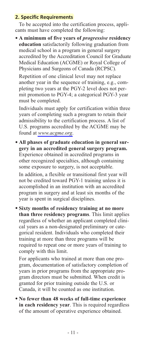# **2. Specific Requirements**

To be accepted into the certification process, applicants must have completed the following:

• **A minimum of five years of** *progressive* **residency education** satisfactorily following graduation from medical school in a program in general surgery accredited by the Accreditation Council for Graduate Medical Education (ACGME) or Royal College of Physicians and Surgeons of Canada (RCPSC).

Repetition of one clinical level may not replace another year in the sequence of training, e.g., completing two years at the PGY-2 level does not permit promotion to PGY-4; a categorical PGY-3 year must be completed.

Individuals must apply for certification within three years of completing such a program to retain their admissibility to the certification process. A list of U.S. programs accredited by the ACGME may be found at *[www.acgme.org](http://www.acgme.org)*.

• **All phases of graduate education in general surgery in an accredited general surgery program.** Experience obtained in accredited programs in other recognized specialties, although containing some exposure to surgery, is not acceptable.

In addition, a flexible or transitional first year will not be credited toward PGY-1 training unless it is accomplished in an institution with an accredited program in surgery and at least six months of the year is spent in surgical disciplines.

• **Sixty months of residency training at no more than three residency programs**. This limit applies regardless of whether an applicant completed clinical years as a non-designated preliminary or categorical resident. Individuals who completed their training at more than three programs will be required to repeat one or more years of training to comply with this limit.

For applicants who trained at more than one program, documentation of satisfactory completion of years in prior programs from the appropriate program directors must be submitted. When credit is granted for prior training outside the U.S. or Canada, it will be counted as one institution.

• **No fewer than 48 weeks of full-time experience in each residency year**. This is required regardless of the amount of operative experience obtained.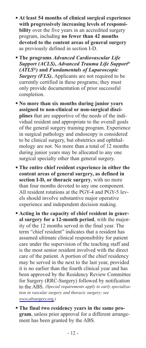- **At least 54 months of clinical surgical experience with progressively increasing levels of responsibility** over the five years in an accredited surgery program, including **no fewer than 42 months devoted to the content areas of general surgery** as previously defined in section I-D.
- **The programs** *Advanced Cardiovascular Life Support (ACLS)***,** *Advanced Trauma Life Support® (ATLS®)* **and** *Fundamentals of Laparoscopic Surgery (FLS)***.** Applicants are not required to be currently certified in these programs; they must only provide documentation of prior successful completion.
- **No more than six months during junior years assigned to non-clinical or non-surgical disciplines** that are supportive of the needs of the individual resident and appropriate to the overall goals of the general surgery training program. Experience in surgical pathology and endoscopy is considered to be clinical surgery, but obstetrics and ophthalmology are not. No more than a total of 12 months during junior years may be allocated to any one surgical specialty other than general surgery.
- **The entire chief resident experience in either the content areas of general surgery, as defined in section I-D, or thoracic surgery**, with no more than four months devoted to any one component. All resident rotations at the PGY-4 and PGY-5 levels should involve substantive major operative experience and independent decision making.
- **Acting in the capacity of chief resident in general surgery for a 12-month period**, with the majority of the 12 months served in the final year. The term "chief resident" indicates that a resident has assumed ultimate clinical responsibility for patient care under the supervision of the teaching staff and is the most senior resident involved with the direct care of the patient. A portion of the chief residency may be served in the next to the last year, provided it is no earlier than the fourth clinical year and has been approved by the Residency Review Committee for Surgery (RRC-Surgery) followed by notification to the ABS. *(Special requirements apply to early specialization in vascular surgery and thoracic surgery; see [www.absurgery.org.](http://www.absurgery.org))*
- **The final two residency years in the same program**, unless prior approval for a different arrangement has been granted by the ABS.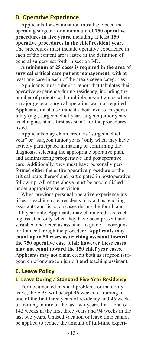# **D. Operative Experience**

Applicants for examination must have been the operating surgeon for a minimum of **750 operative procedures in five years,** including at least **150 operative procedures in the chief resident year**. The procedures must include operative experience in each of the content areas listed in the definition of general surgery set forth in section I-D.

**A minimum of 25 cases is required in the area of surgical critical care patient management**, with at least one case in each of the area's seven categories.

Applicants must submit a report that tabulates their operative experience during residency, including the number of patients with multiple organ trauma where a major general surgical operation was not required. Applicants must also indicate their level of responsibility (e.g., surgeon chief year, surgeon junior years, teaching assistant, first assistant) for the procedures listed.

Applicants may claim credit as "surgeon chief year" or "surgeon junior years" only when they have actively participated in making or confirming the diagnosis, selecting the appropriate operative plan, and administering preoperative and postoperative care. Additionally, they must have personally performed either the entire operative procedure or the critical parts thereof and participated in postoperative follow-up. All of the above must be accomplished under appropriate supervision.

When previous personal operative experience justifies a teaching role, residents may act as teaching assistants and list such cases during the fourth and fifth year only. Applicants may claim credit as teaching assistant only when they have been present and scrubbed and acted as assistant to guide a more junior trainee through the procedure. **Applicants may count up to 50 cases as teaching assistant toward the 750 operative case total; however these cases may not count toward the 150 chief year cases**. Applicants may not claim credit both as surgeon (surgeon chief or surgeon junior) **and** teaching assistant.

# **E. Leave Policy**

#### **1. Leave During a Standard Five-Year Residency**

For documented medical problems or maternity leave, the ABS will accept 46 weeks of training in **one** of the first three years of residency and 46 weeks of training in **one** of the last two years, for a total of 142 weeks in the first three years and 94 weeks in the last two years. Unused vacation or leave time cannot be applied to reduce the amount of full-time experi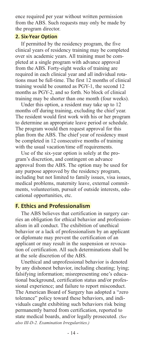ence required per year without written permission from the ABS. Such requests may only be made by the program director.

#### **2. Six-Year Option**

If permitted by the residency program, the five clinical years of residency training may be completed over six academic years. All training must be completed at a single program with advance approval from the ABS. Forty-eight weeks of training are required in each clinical year and all individual rotations must be full-time. The first 12 months of clinical training would be counted as PGY-1, the second 12 months as PGY-2, and so forth. No block of clinical training may be shorter than one month (four weeks).

Under this option, a resident may take up to 12 months off during training, excluding the chief year. The resident would first work with his or her program to determine an appropriate leave period or schedule. The program would then request approval for this plan from the ABS. The chief year of residency must be completed in 12 consecutive months of training with the usual vacation/time off requirements.

Use of the six-year option is solely at the program's discretion, and contingent on advance approval from the ABS. The option may be used for any purpose approved by the residency program, including but not limited to family issues, visa issues, medical problems, maternity leave, external commitments, volunteerism, pursuit of outside interests, educational opportunities, etc.

# **F. Ethics and Professionalism**

The ABS believes that certification in surgery carries an obligation for ethical behavior and professionalism in all conduct. The exhibition of unethical behavior or a lack of professionalism by an applicant or diplomate may prevent the certification of an applicant or may result in the suspension or revocation of certification. All such determinations shall be at the sole discretion of the ABS.

Unethical and unprofessional behavior is denoted by any dishonest behavior, including cheating; lying; falsifying information; misrepresenting one's educational background, certification status and/or professional experience; and failure to report misconduct. The American Board of Surgery has adopted a "zero tolerance" policy toward these behaviors, and individuals caught exhibiting such behaviors risk being permanently barred from certification, reported to state medical boards, and/or legally prosecuted. *(See also III-D-2. Examination Irregularities.)*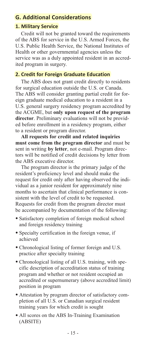# **G. Additional Considerations**

# **1. Military Service**

Credit will not be granted toward the requirements of the ABS for service in the U.S. Armed Forces, the U.S. Public Health Service, the National Institutes of Health or other governmental agencies unless the service was as a duly appointed resident in an accredited program in surgery.

# **2. Credit for Foreign Graduate Education**

The ABS does not grant credit directly to residents for surgical education outside the U.S. or Canada. The ABS will consider granting partial credit for foreign graduate medical education to a resident in a U.S. general surgery residency program accredited by the ACGME, but **only upon request of the program director**. Preliminary evaluations will not be provided before enrollment in a residency program, either to a resident or program director.

**All requests for credit and related inquiries must come from the program director** and must be sent in writing **by letter**, not e-mail. Program directors will be notified of credit decisions by letter from the ABS executive director.

The program director is the primary judge of the resident's proficiency level and should make the request for credit only after having observed the individual as a junior resident for approximately nine months to ascertain that clinical performance is consistent with the level of credit to be requested. Requests for credit from the program director must be accompanied by documentation of the following:

- Satisfactory completion of foreign medical school and foreign residency training
- Specialty certification in the foreign venue, if achieved
- Chronological listing of former foreign and U.S. practice after specialty training
- Chronological listing of all U.S. training, with specific description of accreditation status of training program and whether or not resident occupied an accredited or supernumerary (above accredited limit) position in program
- Attestation by program director of satisfactory completion of all U.S. or Canadian surgical resident training years for which credit is sought
- All scores on the ABS In-Training Examination (ABSITE)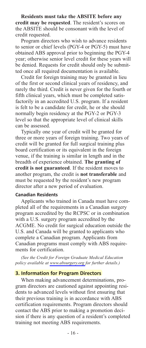**Residents must take the ABSITE before any credit may be requested**. The resident's scores on the ABSITE should be consonant with the level of credit requested.

Program directors who wish to advance residents to senior or chief levels (PGY-4 or PGY-5) must have obtained ABS approval prior to beginning the PGY-4 year; otherwise senior level credit for these years will be denied. Requests for credit should only be submitted once all required documentation is available.

Credit for foreign training may be granted in lieu of the first or second clinical years of residency, and rarely the third. Credit is never given for the fourth or fifth clinical years, which must be completed satisfactorily in an accredited U.S. program. If a resident is felt to be a candidate for credit, he or she should normally begin residency at the PGY-2 or PGY-3 level so that the appropriate level of clinical skills can be assessed.

Typically one year of credit will be granted for three or more years of foreign training. Two years of credit will be granted for full surgical training plus board certification or its equivalent in the foreign venue, if the training is similar in length and in the breadth of experience obtained. **The granting of credit is not guaranteed**. If the resident moves to another program, the credit is **not transferable** and must be requested by the resident's new program director after a new period of evaluation.

#### **Canadian Residents**

Applicants who trained in Canada must have completed all of the requirements in a Canadian surgery program accredited by the RCPSC or in combination with a U.S. surgery program accredited by the ACGME. No credit for surgical education outside the U.S. and Canada will be granted to applicants who complete a Canadian program. Applicants from Canadian programs must comply with ABS requirements for certification.

*(See the Credit for Foreign Graduate Medical Education policy available at [www.absurgery.org](http://home.absurgery.org/default.jsp?policycredforeign) for further details.)*

#### **3. Information for Program Directors**

When making advancement determinations, program directors are cautioned against appointing residents to advanced levels without first ensuring that their previous training is in accordance with ABS certification requirements. Program directors should contact the ABS prior to making a promotion decision if there is any question of a resident's completed training not meeting ABS requirements.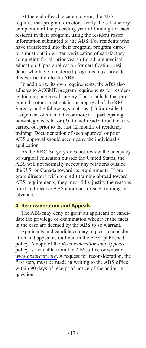At the end of each academic year, the ABS requires that program directors verify the satisfactory completion of the preceding year of training for each resident in their program, using the resident roster information submitted to the ABS. For residents who have transferred into their program, program directors must obtain written verification of satisfactory completion for all prior years of graduate medical education. Upon application for certification, residents who have transferred programs must provide this verification to the ABS.

In addition to its own requirements, the ABS also adheres to ACGME program requirements for residency training in general surgery. These include that program directors must obtain the approval of the RRC-Surgery in the following situations: (1) for resident assignment of six months or more at a participating non-integrated site; or (2) if chief resident rotations are carried out prior to the last 12 months of residency training. Documentation of such approval or prior ABS approval should accompany the individual's application.

As the RRC-Surgery does not review the adequacy of surgical education outside the United States, the ABS will not normally accept any rotations outside the U.S. or Canada toward its requirements. If program directors wish to credit training abroad toward ABS requirements, they must fully justify the reasons for it and receive ABS approval for such training in advance.

#### **4. Reconsideration and Appeals**

The ABS may deny or grant an applicant or candidate the privilege of examination whenever the facts in the case are deemed by the ABS to so warrant.

Applicants and candidates may request reconsideration and appeal as outlined in the ABS' published policy. A copy of the *Reconsideration and Appeals* policy is available from the ABS office or website, *[www.absurgery.org](http://home.absurgery.org/default.jsp?policyappeals)*. A request for reconsideration, the first step, must be made in writing to the ABS office within 90 days of receipt of notice of the action in question.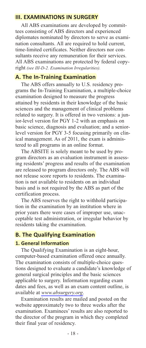# **III. EXAMINATIONS IN SURGERY**

All ABS examinations are developed by committees consisting of ABS directors and experienced diplomates nominated by directors to serve as examination consultants. All are required to hold current, time-limited certificates. Neither directors nor consultants receive any remuneration for their services. All ABS examinations are protected by federal copyright *(see III-D-2. Examination Irregularities).*

# **A. The In-Training Examination**

The ABS offers annually to U.S. residency programs the In-Training Examination, a multiple-choice examination designed to measure the progress attained by residents in their knowledge of the basic sciences and the management of clinical problems related to surgery. It is offered in two versions: a junior-level version for PGY 1-2 with an emphasis on basic science, diagnosis and evaluation; and a seniorlevel version for PGY 3-5 focusing primarily on clinical management. As of 2011, the exam is administered to all programs in an online format.

The ABSITE is solely meant to be used by program directors as an evaluation instrument in assessing residents' progress and results of the examination are released to program directors only. The ABS will not release score reports to residents. The examination is not available to residents on an individual basis and is not required by the ABS as part of the certification process.

The ABS reserves the right to withhold participation in the examination by an institution where in prior years there were cases of improper use, unacceptable test administration, or irregular behavior by residents taking the examination.

#### **B. The Qualifying Examination**

#### **1. General Information**

The Qualifying Examination is an eight-hour, computer-based examination offered once annually. The examination consists of multiple-choice questions designed to evaluate a candidate's knowledge of general surgical principles and the basic sciences applicable to surgery. Information regarding exam dates and fees, as well as an exam content outline, is available at *[www.absurgery.org](http://www.absurgery.org)*.

Examination results are mailed and posted on the website approximately two to three weeks after the examination. Examinees' results are also reported to the director of the program in which they completed their final year of residency.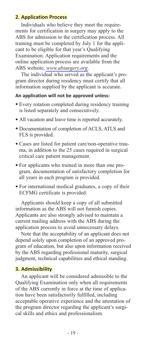# **2. Application Process**

Individuals who believe they meet the requirements for certification in surgery may apply to the ABS for admission to the certification process. All training must be completed by July 1 for the applicant to be eligible for that year's Qualifying Examination. Application requirements and the online application process are available from the ABS website, *[www.absurgery.org](http://home.absurgery.org/default.jsp?app_gqe_inst)*.

The individual who served as the applicant's program director during residency must certify that all information supplied by the applicant is accurate.

#### **An application will not be approved unless:**

- Every rotation completed during residency training is listed separately and consecutively.
- All vacation and leave time is reported accurately.
- Documentation of completion of ACLS, ATLS and FLS is provided.
- Cases are listed for patient care/non-operative trauma, in addition to the 25 cases required in surgical critical care patient management.
- For applicants who trained in more than one program, documentation of satisfactory completion for all years in each program is provided.
- For international medical graduates, a copy of their ECFMG certificate is provided.

Applicants should keep a copy of all submitted information as the ABS will not furnish copies. Applicants are also strongly advised to maintain a current mailing address with the ABS during the application process to avoid unnecessary delays.

Note that the acceptability of an applicant does not depend solely upon completion of an approved program of education, but also upon information received by the ABS regarding professional maturity, surgical judgment, technical capabilities and ethical standing.

#### **3. Admissibility**

An applicant will be considered admissible to the Qualifying Examination only when all requirements of the ABS currently in force at the time of application have been satisfactorily fulfilled, including acceptable operative experience and the attestation of the program director regarding the applicant's surgical skills and ethics and professionalism.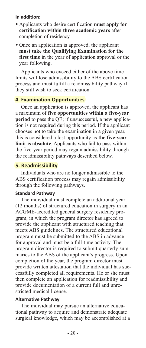#### **In addition:**

- Applicants who desire certification **must apply for certification within three academic years** after completion of residency.
- Once an application is approved, the applicant **must take the Qualifying Examination for the** first time in the year of application approval or the year following.

Applicants who exceed either of the above time limits will lose admissibility to the ABS certification process and must fulfill a readmissibility pathway if they still wish to seek certification.

#### **4. Examination Opportunities**

Once an application is approved, the applicant has a maximum of **five opportunities within a five-year period** to pass the QE; if unsuccessful, a new application is not required during this period. If the applicant chooses not to take the examination in a given year, this is considered a lost opportunity as **the five-year limit is absolute**. Applicants who fail to pass within the five-year period may regain admissibility through the readmissibility pathways described below.

#### **5. Readmissibility**

Individuals who are no longer admissible to the ABS certification process may regain admissibility through the following pathways.

#### **Standard Pathway**

The individual must complete an additional year (12 months) of structured education in surgery in an ACGME-accredited general surgery residency program, in which the program director has agreed to provide the applicant with structured teaching that meets ABS guidelines. The structured educational program must be submitted to the ABS in advance for approval and must be a full-time activity. The program director is required to submit quarterly summaries to the ABS of the applicant's progress. Upon completion of the year, the program director must provide written attestation that the individual has successfully completed all requirements. He or she must then complete an application for readmissibility and provide documentation of a current full and unrestricted medical license.

# **Alternative Pathway**

The individual may pursue an alternative educational pathway to acquire and demonstrate adequate surgical knowledge, which may be accomplished at a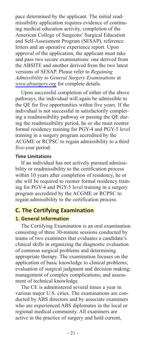pace determined by the applicant. The initial readmissibility application requires evidence of continuing medical education activity, completion of the American College of Surgeons' Surgical Education and Self-Assessment Program (SESAP), reference letters and an operative experience report. Upon approval of the application, the applicant must take and pass two secure examinations: one derived from the ABSITE and another derived from the two latest versions of SESAP. Please refer to *Regaining Admissibility to General Surgery Examinations* at *[www.absurgery.org](http://home.absurgery.org/default.jsp?policyreadmisall)* for complete details.

Upon successful completion of either of the above pathways, the individual will again be admissible to the QE for five opportunities within five years. If the individual is not successful in satisfactorily completing a readmissibility pathway or passing the QE during the readmissibility period, he or she must reenter formal residency training for PGY-4 and PGY-5 level training in a surgery program accredited by the ACGME or RCPSC to regain admissibility to a third five-year period.

#### **Time Limitations**

If an individual has not actively pursued admissibility or readmissibility to the certification process within 10 years after completion of residency, he or she will be required to reenter formal residency training for PGY-4 and PGY-5 level training in a surgery program accredited by the ACGME or RCPSC to regain admissibility to the certification process.

#### **C. The Certifying Examination**

#### **1. General Information**

The Certifying Examination is an oral examination consisting of three 30-minute sessions conducted by teams of two examiners that evaluates a candidate's clinical skills in organizing the diagnostic evaluation of common surgical problems and determining appropriate therapy. The examination focuses on the application of basic knowledge to clinical problems; evaluation of surgical judgment and decision making; management of complex complications; and assessment of technical knowledge.

The CE is administered several times a year in various major U.S. cities. The examinations are conducted by ABS directors and by associate examiners who are experienced ABS diplomates in the local or regional medical community. All examiners are active in the practice of surgery and hold current,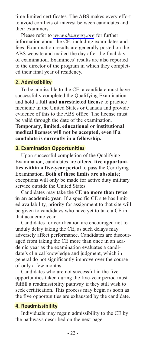time-limited certificates. The ABS makes every effort to avoid conflicts of interest between candidates and their examiners.

Please refer to *[www.absurgery.org](http://www.absurgery.org)* for further information about the CE, including exam dates and fees. Examination results are generally posted on the ABS website and mailed the day after the final day of examination. Examinees' results are also reported to the director of the program in which they completed their final year of residency.

#### **2. Admissibility**

To be admissible to the CE, a candidate must have successfully completed the Qualifying Examination and hold a **full and unrestricted license** to practice medicine in the United States or Canada and provide evidence of this to the ABS office. The license must be valid through the date of the examination.

**Temporary, limited, educational or institutional medical licenses will not be accepted, even if a candidate is currently in a fellowship.**

#### **3. Examination Opportunities**

Upon successful completion of the Qualifying Examination, candidates are offered **five opportunities within a five-year period** to pass the Certifying Examination. **Both of these limits are absolute**; exceptions will only be made for active duty military service outside the United States.

Candidates may take the CE **no more than twice in an academic year**. If a specific CE site has limited availability, priority for assignment to that site will be given to candidates who have yet to take a CE in that academic year.

Candidates for certification are encouraged not to unduly delay taking the CE, as such delays may adversely affect performance. Candidates are discouraged from taking the CE more than once in an academic year as the examination evaluates a candidate's clinical knowledge and judgment, which in general do not significantly improve over the course of only a few months.

Candidates who are not successful in the five opportunities taken during the five-year period must fulfill a readmissibility pathway if they still wish to seek certification. This process may begin as soon as the five opportunities are exhausted by the candidate.

#### **4. Readmissibility**

Individuals may regain admissibility to the CE by the pathways described on the next page.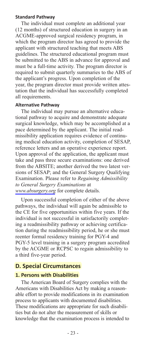#### **Standard Pathway**

The individual must complete an additional year (12 months) of structured education in surgery in an ACGME-approved surgical residency program, in which the program director has agreed to provide the applicant with structured teaching that meets ABS guidelines. The structured educational program must be submitted to the ABS in advance for approval and must be a full-time activity. The program director is required to submit quarterly summaries to the ABS of the applicant's progress. Upon completion of the year, the program director must provide written attestation that the individual has successfully completed all requirements.

#### **Alternative Pathway**

The individual may pursue an alternative educational pathway to acquire and demonstrate adequate surgical knowledge, which may be accomplished at a pace determined by the applicant. The initial readmissibility application requires evidence of continuing medical education activity, completion of SESAP, reference letters and an operative experience report. Upon approval of the application, the applicant must take and pass three secure examinations: one derived from the ABSITE; another derived the two latest versions of SESAP; and the General Surgery Qualifying Examination. Please refer to *Regaining Admissibility to General Surgery Examinations* at *[www.absurgery.org](http://home.absurgery.org/default.jsp?policyreadmisallce)* for complete details.

Upon successful completion of either of the above pathways, the individual will again be admissible to the CE for five opportunities within five years. If the individual is not successful in satisfactorily completing a readmissibility pathway or achieving certification during the readmissibility period, he or she must reenter formal residency training for PGY-4 and PGY-5 level training in a surgery program accredited by the ACGME or RCPSC to regain admissibility to a third five-year period.

# **D. Special Circumstances**

#### **1. Persons with Disabilities**

The American Board of Surgery complies with the Americans with Disabilities Act by making a reasonable effort to provide modifications in its examination process to applicants with documented disabilities. These modifications are appropriate for such disabilities but do not alter the measurement of skills or knowledge that the examination process is intended to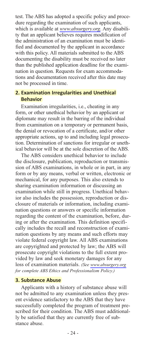test. The ABS has adopted a specific policy and procedure regarding the examination of such applicants, which is available at *[www.absurgery.org](http://home.absurgery.org/default.jsp?policydisabilities)*. Any disability that an applicant believes requires modification of the administration of an examination must be identified and documented by the applicant in accordance with this policy. All materials submitted to the ABS documenting the disability must be received no later than the published application deadline for the examination in question. Requests for exam accommodations and documentation received after this date may not be processed in time.

# **2. Examination Irregularities and Unethical Behavior**

Examination irregularities, i.e., cheating in any form, or other unethical behavior by an applicant or diplomate may result in the barring of the individual from examination on a temporary or permanent basis, the denial or revocation of a certificate, and/or other appropriate actions, up to and including legal prosecution. Determination of sanctions for irregular or unethical behavior will be at the sole discretion of the ABS.

The ABS considers unethical behavior to include the disclosure, publication, reproduction or transmission of ABS examinations, in whole or in part, in any form or by any means, verbal or written, electronic or mechanical, for any purposes. This also extends to sharing examination information or discussing an examination while still in progress. Unethical behavior also includes the possession, reproduction or disclosure of materials or information, including examination questions or answers or specific information regarding the content of the examination, before, during or after the examination. This definition specifically includes the recall and reconstruction of examination questions by any means and such efforts may violate federal copyright law. All ABS examinations are copyrighted and protected by law; the ABS will prosecute copyright violations to the full extent provided by law and seek monetary damages for any loss of examination materials. *(See [www.absurgery.org](http://home.absurgery.org/default.jsp?policyethics) for complete ABS Ethics and Professionalism Policy.)*

#### **3. Substance Abuse**

Applicants with a history of substance abuse will not be admitted to any examination unless they present evidence satisfactory to the ABS that they have successfully completed the program of treatment prescribed for their condition. The ABS must additionally be satisfied that they are currently free of substance abuse.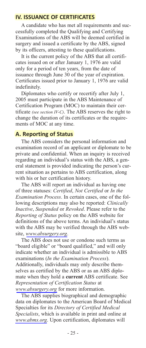# **IV. ISSUANCE OF CERTIFICATES**

A candidate who has met all requirements and successfully completed the Qualifying and Certifying Examinations of the ABS will be deemed certified in surgery and issued a certificate by the ABS, signed by its officers, attesting to these qualifications.

It is the current policy of the ABS that all certificates issued on or after January 1, 1976 are valid only for a period of ten years, from the date of issuance through June 30 of the year of expiration. Certificates issued prior to January 1, 1976 are valid indefinitely.

Diplomates who certify or recertify after July 1, 2005 must participate in the ABS Maintenance of Certification Program (MOC) to maintain their certificate *(see section IV-C)*. The ABS reserves the right to change the duration of its certificates or the requirements of MOC at any time.

# **A. Reporting of Status**

The ABS considers the personal information and examination record of an applicant or diplomate to be private and confidential. When an inquiry is received regarding an individual's status with the ABS, a general statement is provided indicating the person's current situation as pertains to ABS certification, along with his or her certification history.

The ABS will report an individual as having one of three statuses: *Certified*, *Not Certified* or *In the Examination Process*. In certain cases, one of the following descriptions may also be reported: *Clinically Inactive*, *Suspended* or *Revoked*. Please refer to the *Reporting of Status* policy on the ABS website for definitions of the above terms. An individual's status with the ABS may be verified through the ABS website, *[www.absurgery.org](https://home.absurgery.org/app.jsp?type=vc&id=27)*.

The ABS does not use or condone such terms as "board eligible" or "board qualified," and will only indicate whether an individual is admissible to ABS examinations (*In the Examination Process*). Additionally, individuals may only describe themselves as certified by the ABS or as an ABS diplomate when they hold a **current** ABS certificate. See *Representation of Certification Status* at *[www.absurgery.org](http://home.absurgery.org/default.jsp?policyrepofcert)* for more information.

The ABS supplies biographical and demographic data on diplomates to the American Board of Medical Specialties for its *Directory of Certified Medical Specialists*, which is available in print and online at *[www.abms.org](http://www.abms.org/)*. Upon certification, diplomates will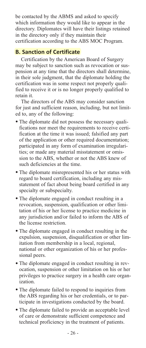be contacted by the ABMS and asked to specify which information they would like to appear in the directory. Diplomates will have their listings retained in the directory only if they maintain their certification according to the ABS MOC Program.

# **B. Sanction of Certificate**

Certification by the American Board of Surgery may be subject to sanction such as revocation or suspension at any time that the directors shall determine, in their sole judgment, that the diplomate holding the certification was in some respect not properly qualified to receive it or is no longer properly qualified to retain it.

The directors of the ABS may consider sanction for just and sufficient reason, including, but not limited to, any of the following:

- The diplomate did not possess the necessary qualifications nor meet the requirements to receive certification at the time it was issued; falsified any part of the application or other required documentation; participated in any form of examination irregularities; or made any material misstatement or omission to the ABS, whether or not the ABS knew of such deficiencies at the time.
- The diplomate misrepresented his or her status with regard to board certification, including any misstatement of fact about being board certified in any specialty or subspecialty.
- The diplomate engaged in conduct resulting in a revocation, suspension, qualification or other limitation of his or her license to practice medicine in any jurisdiction and/or failed to inform the ABS of the license restriction.
- The diplomate engaged in conduct resulting in the expulsion, suspension, disqualification or other limitation from membership in a local, regional, national or other organization of his or her professional peers.
- The diplomate engaged in conduct resulting in revocation, suspension or other limitation on his or her privileges to practice surgery in a health care organization.
- The diplomate failed to respond to inquiries from the ABS regarding his or her credentials, or to participate in investigations conducted by the board.
- The diplomate failed to provide an acceptable level of care or demonstrate sufficient competence and technical proficiency in the treatment of patients.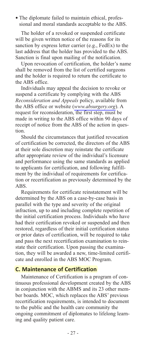• The diplomate failed to maintain ethical, professional and moral standards acceptable to the ABS.

The holder of a revoked or suspended certificate will be given written notice of the reasons for its sanction by express letter carrier (e.g., FedEx) to the last address that the holder has provided to the ABS. Sanction is final upon mailing of the notification.

Upon revocation of certification, the holder's name shall be removed from the list of certified surgeons and the holder is required to return the certificate to the ABS office.

Individuals may appeal the decision to revoke or suspend a certificate by complying with the ABS *Reconsideration and Appeals* policy, available from the ABS office or website (*[www.absurgery.org](http://home.absurgery.org/default.jsp?policyappeals)*). A request for reconsideration, the first step, must be made in writing to the ABS office within 90 days of receipt of notice from the ABS of the action in question.

Should the circumstances that justified revocation of certification be corrected, the directors of the ABS at their sole discretion may reinstate the certificate after appropriate review of the individual's licensure and performance using the same standards as applied to applicants for certification, and following fulfillment by the individual of requirements for certification or recertification as previously determined by the ABS.

Requirements for certificate reinstatement will be determined by the ABS on a case-by-case basis in parallel with the type and severity of the original infraction, up to and including complete repetition of the initial certification process. Individuals who have had their certification revoked or suspended and then restored, regardless of their initial certification status or prior dates of certification, will be required to take and pass the next recertification examination to reinstate their certification. Upon passing the examination, they will be awarded a new, time-limited certificate and enrolled in the ABS MOC Program.

# **C. Maintenance of Certification**

Maintenance of Certification is a program of continuous professional development created by the ABS in conjunction with the ABMS and its 23 other member boards. MOC, which replaces the ABS' previous recertification requirements, is intended to document to the public and the health care community the ongoing commitment of diplomates to lifelong learning and quality patient care.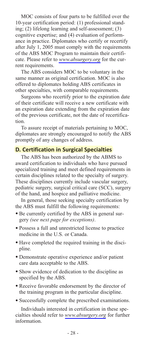MOC consists of four parts to be fulfilled over the 10-year certification period: (1) professional standing; (2) lifelong learning and self-assessment; (3) cognitive expertise; and (4) evaluation of performance in practice. Diplomates who certify or recertify after July 1, 2005 must comply with the requirements of the ABS MOC Program to maintain their certificate. Please refer to *[www.absurgery.org](http://home.absurgery.org/default.jsp?exam-moc)* for the current requirements.

The ABS considers MOC to be voluntary in the same manner as original certification. MOC is also offered to diplomates holding ABS certificates in other specialties, with comparable requirements.

Surgeons who recertify prior to the expiration date of their certificate will receive a new certificate with an expiration date extending from the expiration date of the previous certificate, not the date of recertification.

To assure receipt of materials pertaining to MOC, diplomates are strongly encouraged to notify the ABS promptly of any changes of address.

# **D. Certification in Surgical Specialties**

The ABS has been authorized by the ABMS to award certification to individuals who have pursued specialized training and meet defined requirements in certain disciplines related to the specialty of surgery. These disciplines currently include vascular surgery, pediatric surgery, surgical critical care (SCC), surgery of the hand, and hospice and palliative medicine.

In general, those seeking specialty certification by the ABS must fulfill the following requirements:

- Be currently certified by the ABS in general surgery *(see next page for exceptions)*.
- Possess a full and unrestricted license to practice medicine in the U.S. or Canada.
- Have completed the required training in the discipline.
- Demonstrate operative experience and/or patient care data acceptable to the ABS.
- Show evidence of dedication to the discipline as specified by the ABS.
- Receive favorable endorsement by the director of the training program in the particular discipline.
- Successfully complete the prescribed examinations.

Individuals interested in certification in these specialties should refer to *[www.absurgery.org](http://home.absurgery.org)* for further information.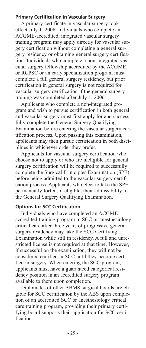#### **Primary Certification in Vascular Surgery**

A primary certificate in vascular surgery took effect July 1, 2006. Individuals who complete an ACGME-accredited, integrated vascular surgery training program may apply directly for vascular surgery certification without completing a general surgery residency or obtaining general surgery certification. Individuals who complete a non-integrated vascular surgery fellowship accredited by the ACGME or RCPSC or an early specialization program must complete a full general surgery residency, but prior certification in general surgery is not required for vascular surgery certification if the general surgery training was completed after July 1, 2006.

Applicants who complete a non-integrated program and wish to pursue certification in both general and vascular surgery must first apply for and successfully complete the General Surgery Qualifying Examination before entering the vascular surgery certification process. Upon passing this examination, applicants may then pursue certification in both disciplines in whichever order they prefer.

Applicants for vascular surgery certification who choose not to apply or who are ineligible for general surgery certification will be required to successfully complete the Surgical Priniciples Examination (SPE) before being admitted to the vascular surgery certification process. Applicants who elect to take the SPE permanently forfeit, if eligible, their admissibility to the General Surgery Qualifying Examination.

#### **Options for SCC Certification**

Individuals who have completed an ACGMEaccredited training program in SCC or anesthesiology critical care after three years of progressive general surgery residency may take the SCC Certifying Examination while still in residency. A full and unrestricted license is not required at that time. However, if successful on the examination, they will not be considered certified in SCC until they become certified in surgery. When entering the SCC program, applicants must have a guaranteed categorical residency position in an accredited surgery program available to them upon completion.

Diplomates of other ABMS surgical boards are eligible for SCC certification by the ABS upon completion of an accredited SCC or anesthesiology critical care training program, providing their primary certifying board supports their application for SCC certification.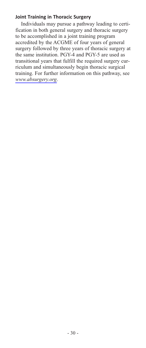# **Joint Training in Thoracic Surgery**

Individuals may pursue a pathway leading to certification in both general surgery and thoracic surgery to be accomplished in a joint training program accredited by the ACGME of four years of general surgery followed by three years of thoracic surgery at the same institution. PGY-4 and PGY-5 are used as transitional years that fulfill the required surgery curriculum and simultaneously begin thoracic surgical training. For further information on this pathway, see *[www.absurgery.org](http://home.absurgery.org/default.jsp?policyjointthoracic)*.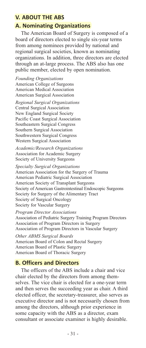# **V. ABOUT THE ABS**

# **A. Nominating Organizations**

The American Board of Surgery is composed of a board of directors elected to single six-year terms from among nominees provided by national and regional surgical societies, known as nominating organizations. In addition, three directors are elected through an at-large process. The ABS also has one public member, elected by open nomination.

*Founding Organizations* American College of Surgeons American Medical Association American Surgical Association

*Regional Surgical Organizations* Central Surgical Association New England Surgical Society Pacific Coast Surgical Association Southeastern Surgical Congress Southern Surgical Association Southwestern Surgical Congress Western Surgical Association

*Academic/Research Organizations* Association for Academic Surgery Society of University Surgeons

*Specialty Surgical Organizations* American Association for the Surgery of Trauma American Pediatric Surgical Association American Society of Transplant Surgeons Society of American Gastrointestinal Endoscopic Surgeons Society for Surgery of the Alimentary Tract Society of Surgical Oncology Society for Vascular Surgery

*Program Director Associations* Association of Pediatric Surgery Training Program Directors Association of Program Directors in Surgery Association of Program Directors in Vascular Surgery

*Other ABMS Surgical Boards* American Board of Colon and Rectal Surgery American Board of Plastic Surgery American Board of Thoracic Surgery

# **B. Officers and Directors**

The officers of the ABS include a chair and vice chair elected by the directors from among themselves. The vice chair is elected for a one-year term and then serves the succeeding year as chair. A third elected officer, the secretary-treasurer, also serves as executive director and is not necessarily chosen from among the directors, although prior experience in some capacity with the ABS as a director, exam consultant or associate examiner is highly desirable.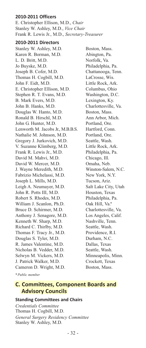#### **2010-2011 Officers**

E. Christopher Ellison, M.D., *Chair* Stanley W. Ashley, M.D., *Vice Chair* Frank R. Lewis Jr., M.D., *Secretary-Treasurer*

#### **2010-2011 Directors**

Stanley W. Ashley, M.D. Boston, Mass. Karen R. Borman, M.D. Abington, Pa. L. D. Britt, M.D. Norfolk, Va. Jo Buyske, M.D. Philadelphia, Pa. Joseph B. Cofer, M.D. Chattanooga, Tenn. Thomas H. Cogbill, M.D. LaCrosse, Wis. John F. Eidt, M.D. Little Rock, Ark. E. Christopher Ellison, M.D. Columbus, Ohio Stephen R. T. Evans, M.D. Washington, D.C. B. Mark Evers, M.D. Lexington, Ky. John B. Hanks, M.D. Charlottesville, Va. Douglas W. Hanto, M.D. Boston, Mass. Ronald B. Hirschl, M.D. Ann Arbor, Mich. John G. Hunter, M.D. Portland, Ore. Lenworth M. Jacobs Jr., M.B.B.S. Hartford, Conn. Nathalie M. Johnson, M.D. Portland, Ore. Gregory J. Jurkovich, M.D. Seattle, Wash. V. Suzanne Klimberg, M.D. Little Rock, Ark. Frank R. Lewis Jr., M.D. Philadelphia, Pa. David M. Mahvi, M.D. Chicago, Ill. David W. Mercer, M.D. Omaha, Neb. J. Wayne Meredith, M.D. Winston-Salem, N.C. Fabrizio Michelassi, M.D. New York, N.Y. Joseph L. Mills, M.D. Tucson, Ariz. Leigh A. Neumayer, M.D. Salt Lake City, Utah John R. Potts III, M.D. Houston, Texas Robert S. Rhodes, M.D. Philadelphia, Pa. William J. Scanlon, Ph.D. Oak Hill, Va.\* Bruce D. Schirmer, M.D. Charlottesville, Va. Anthony J. Senagore, M.D. Los Angeles, Calif. Kenneth W. Sharp, M.D. Nashville, Tenn. Richard C. Thirlby, M.D. Seattle, Wash. Thomas F. Tracy Jr., M.D. Providence, R.I. Douglas S. Tyler, M.D. Durham, N.C. R. James Valentine, M.D. Dallas, Texas Nicholas B. Vedder, M.D. Seattle, Wash. Selwyn M. Vickers, M.D. Minneapolis, Minn. J. Patrick Walker, M.D. Crockett, Texas Cameron D. Wright, M.D. Boston, Mass.

*\*Public member*

# **C. Committees, Component Boards and Advisory Councils**

#### **Standing Committees and Chairs**

*Credentials Committee* Thomas H. Cogbill, M.D. *General Surgery Residency Committee* Stanley W. Ashley, M.D.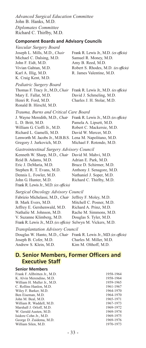*Advanced Surgical Education Committee* John B. Hanks, M.D. *Diplomates Committee* Richard C. Thirlby, M.D.

#### **Component Boards and Advisory Councils**

| Vascular Surgery Board<br>Joseph L. Mills, M.D., Chair<br>Michael C. Dalsing, M.D.<br>John F. Eidt, M.D.<br>Vivian Gahtan, M.D.<br>Karl A. Illig, M.D.<br>K. Craig Kent, M.D.                                                                            | Frank R. Lewis Jr., M.D. (ex officio)<br>Samuel R. Money, M.D.<br>Amy B. Reed, M.D.<br>Robert S. Rhodes, M.D. (ex officio)<br>R. James Valentine, M.D.       |
|----------------------------------------------------------------------------------------------------------------------------------------------------------------------------------------------------------------------------------------------------------|--------------------------------------------------------------------------------------------------------------------------------------------------------------|
| Pediatric Surgery Board<br>Thomas F. Tracy Jr., M.D., Chair<br>Mary E. Fallat, M.D.<br>Henri R. Ford, M.D.<br>Ronald B. Hirschl, M.D.                                                                                                                    | Frank R. Lewis Jr., M.D. (ex officio)<br>David J. Schmeling, M.D.<br>Charles J. H. Stolar, M.D.                                                              |
| Trauma, Burns and Critical Care Board<br>J. Wayne Meredith, M.D., Chair<br>L. D. Britt, M.D.<br>William G. Cioffi Jr., M.D.<br>Richard L. Gamelli, M.D.<br>Lenworth M. Jacobs Jr., M.B.B.S. Lena M. Napolitano, M.D.<br>Gregory J. Jurkovich, M.D.       | Frank R. Lewis Jr., M.D. (ex officio)<br>Pamela A. Lipsett, M.D.<br>Robert C. Mackersie, M.D.<br>David W. Mercer, M.D.<br>Michael F. Rotondo, M.D.           |
| Gastrointestinal Surgery Advisory Council<br>Kenneth W. Sharp, M.D., Chair<br>Reid B. Adams, M.D.<br>Eric J. DeMaria, M.D.<br>Stephen R. T. Evans, M.D.<br>Dennis L. Fowler, M.D.<br>John G. Hunter, M.D.<br>Frank R. Lewis Jr., M.D. (ex officio)       | David M. Mahvi, M.D.<br>Adrian E. Park, M.D.<br>Bruce D. Schirmer, M.D.<br>Anthony J. Senagore, M.D.<br>Nathaniel J. Soper, M.D.<br>Richard C. Thirlby, M.D. |
| Surgical Oncology Advisory Council<br>Fabrizio Michelassi, M.D., Chair<br>B. Mark Evers, M.D.<br>Jeffrey E. Gershenwald, M.D.<br>Nathalie M. Johnson, M.D.<br>V. Suzanne Klimberg, M.D.<br>Frank R. Lewis Jr., M.D. (ex officio) Selwyn M. Vickers, M.D. | Jeffrey F. Moley, M.D.<br>Mitchell C. Posner, M.D.<br>Richard A. Prinz, M.D.<br>Rache M. Simmons, M.D.<br>Douglas S. Tyler, M.D.                             |
| <b>Transplantation Advisory Council</b><br>Douglas W. Hanto, M.D., Chair<br>Joseph B. Cofer, M.D.<br>Andrew S. Klein, M.D.                                                                                                                               | Frank R. Lewis Jr., M.D. (ex officio)<br>Charles M. Miller, M.D.<br>Kim M. Olthoff, M.D.                                                                     |

# **D. Senior Members, Former Officers and Executive Staff**

| <b>Senior Members</b>         |           |
|-------------------------------|-----------|
| Frank F. Allbritten Jr., M.D. | 1958-1964 |
| K. Alvin Merendino, M.D.      | 1958-1964 |
| William H. Muller Jr., M.D.   | 1959-1965 |
| C. Rollins Hanlon, M.D.       | 1961-1967 |
| Wiley F. Barker, M.D.         | 1964-1970 |
| Ben Eiseman, M.D.             | 1964-1970 |
| John M. Beal, M.D.            | 1965-1971 |
| William R. Waddell, M.D.      | 1967-1973 |
| Marshall J. Orloff, M.D.      | 1969-1972 |
| W. Gerald Austen, M.D.        | 1969-1974 |
| Isidore Cohn Jr., M.D.        | 1969-1975 |
| George D. Zuidema, M.D.       | 1969-1976 |
| William Silen, M.D.           | 1970-1973 |
|                               |           |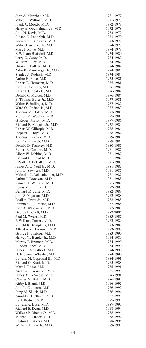John A. Mannick, M.D. 1971-1977 Vallee L. Willman, M.D. 1971-1977<br>Frank G. Moody. M.D. 1972-1978 Frank G. Moody, M.D.<br>
Harry A. Oberhelman, Ir. M.D. 1972-1978 Harry A. Oberhelman, Jr., M.D. 1972-1978<br>
John H. Davis M.D. 1973-1979 John H. Davis, M.D. 1973-1979 Judson G. Randolph, M.D. 1973-1979 Seymour I. Schwartz, M.D. 1973-1979<br>Walter Lawrence Jr., M.D. 1974-1978 Walter Lawrence Jr., M.D. Marc I. Rowe, M.D.<br>
F William Blaisdell M D<br>
1974-1980 F. William Blaisdell, M.D. 1974-1980<br>Larry C. Carey M.D. 1974-1982 Larry C. Carey, M.D.<br>
William J. Frv. M.D. 1974-1982 William J. Fry, M.D. 1974-1982<br>Hiram C. Polk Jr., M.D. 1974-1982 Hiram C. Polk Jr., M.D.<br>Arlie R. Mansherger Ir. M.D. 1974-1982 Arlie R. Mansberger Jr., M.D. 1974-1983<br>Stanley J. Dudrick M.D. 1974-1984 Stanley J. Dudrick, M.D. 1974-1984<br>Arthur E. Baue. M.D. 1975-1981 Arthur E. Baue, M.D.<br>
Robert E. Hermann. M.D. 1975-1981 Robert E. Hermann, M.D.<br>
John E. Connolly, M.D. (1976-1982) John E. Connolly, M.D.<br>Lazar I. Greenfield M.D. 1976-1982 Lazar J. Greenfield, M.D. 1976-1982<br>Donald G. Mulder M.D. 1976-1984 Donald G. Mulder, M.D.<br>
E. Thomas Boles Jr., M.D. (1977-1981) E. Thomas Boles Jr., M.D. 1977-1981<br>Walter F Ballinger M D 1977-1982 Walter F. Ballinger, M.D. 1977-1982<br>Ward O. Griffen Jr., M.D. 1977-1983 Ward O. Griffen Jr., M.D. 1977-1983<br>Thomas M. Holder M.D. 1977-1983 Thomas M. Holder, M.D. 1977-1983 Morton M. Woolley, M.D.<br>G. Robert Mason, M.D. 1977-1986 G. Robert Mason, M.D.<br>
Richard E. Ahlquist Jr., M.D. 1978-1984 Richard E. Ahlquist Jr., M.D.<br>
Robert W. Gillesnie M.D. 1978-1984 Robert W. Gillespie, M.D. 1978-1984<br>Stephen J. Hove. M.D. 1978-1984 Stephen J. Hoye, M.D.<br>Thomas I Krizek M D. 1979-1983 Thomas J. Krizek, M.D. 1979-1983 John W. Braasch, M.D. 1979-1985<br>Donald D. Trunkey, M.D. 1980-1987 Donald D. Trunkey, M.D. Robert E. Condon, M.D. 1981-1987 Albert W. Dibbins, M.D. 1981-1987<br>Richard D. Flovd M.D. 1981-1987 Richard D. Floyd M.D.<br>
LaSalle D. Leffall Jr., M.D. 1981-1987 LaSalle D. Leffall Jr., M.D. 1981-1987<br>James A. O'Neill Jr., M.D. 1981-1987 James A. O'Neill Jr., M.D. 1981-1987<br>John L. Sawyers, M.D. 1981-1987 John L. Sawyers, M.D. Malcolm C. Veidenheimer, M.D. 1981-1987<br>Arthur J. Donovan, M.D. 1981-1988 Arthur J. Donovan, M.D. 1981-1988<br>
Samuel A. Wells Jr., M.D. 1981-1989 Samuel A. Wells Jr., M.D. 1981-1989<br>
Lewis M Flint M D 1982-1988 Lewis M. Flint, M.D.<br>
Bernard M. Jaffe M.D. 1982-1988 Bernard M. Jaffe, M.D.<br>
John S. Najarian, M.D.<br>
1982-1988 John S. Najarian, M.D. 1982-1988 Basil A. Pruitt Jr., M.D.<br>Jeremiah G. Turcotte. M.D. 1982-1988 Jeremiah G. Turcotte, M.D.<br>
John A. Waldhausen, M.D. 1982-1988 John A. Waldhausen, M.D. 1982-1988<br>George E. Cruft M.D. 1982-2004 George E. Cruft, M.D. Paul M. Weeks, M.D. 1983-1987<br>P. William Curreri. M.D. 1983-1989 P. William Curreri, M.D.<br>
Ronald K. Tompkins. M.D.<br>
1983-1989 Ronald K. Tompkins, M.D.<br>Alfred A. de Lorimier. M.D. 1983-1990 Alfred A. de Lorimier, M.D. 1983-1990<br>George F. Sheldon, M.D. 1983-1990 George F. Sheldon, M.D. Harvey W. Bender Jr., M.D. 1984-1989<br>
Murrav F. Brennan, M.D. 1984-1990 Murray F. Brennan, M.D. 1984-1990<br>R. Scott Jones. M.D. 1984-1990 R. Scott Jones, M.D. 1984-1990<br>
Iames E. McKittrick M.D. 1984-1990 James E. McKittrick, M.D. 1984-1990<br>
H. Brownell Wheeler, M.D. 1984-1990 H. Brownell Wheeler, M.D. 1984-1990<br>Edward M. Copeland III, M.D. 1984-1991 Edward M. Copeland III, M.D.<br>Richard O. Kraft. M.D. 1985-1988 Richard O. Kraft, M.D.<br>
Marc I. Rowe. M.D. 1985-1991 Marc I. Rowe, M.D. 1985-1991<br>
Andrew L. Warshaw. M.D. 1985-1993 Andrew L. Warshaw, M.D. 1985-1993<br>
Iames A DeWeese M D 1986-1991 James A. DeWeese, M.D. 1986-1991 Charles M. Balch, M.D. 1986-1992<br>
Kirby J. Bland, M.D. 1986-1992 Kirby I. Bland, M.D.<br>
John L. Cameron, M.D.<br>
1986-1992 John L. Cameron, M.D. 1986-1992 Jerry M. Shuck, M.D. 1986-1994 Arnold G. Diethelm, M.D. Ira J. Kodner, M.D. 1987-1993 Edward A. Luce, M.D.<br>
Richard E. Dean. M.D. 1988-1994 Richard E. Dean, M.D.<br>
Wallace P. Ritchie Ir M.D. 1988-1994 Wallace P. Ritchie Jr., M.D. 1988-1994<br>Michael J. Zinner. M.D. 1988-1994 Michael J. Zinner, M.D.<br>
Layton F. Rikkers, M.D. 1988-1995 Layton F. Rikkers, M.D. 1988-1995 William A. Gay Jr., M.D.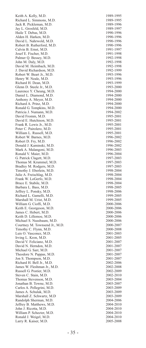Keith A. Kelly, M.D.<br>
Richard L. Simmons. M.D. 1989-1995 Richard L. Simmons, M.D. 1989-1995<br>Jack R. Pickleman, M.D. 1989-1996 Jack R. Pickleman, M.D. 1989-1996<br>
Iav J. Grosfeld M.D. 1989-1997 Jay L. Grosfeld, M.D. 1989-1997 Haile T. Debas, M.D. Alden H. Harken, M.D.<br>
David L. Nahrwold. M.D. 1990-1996 David L. Nahrwold, M.D. 1990-1996 Robert B. Rutherford, M.D. Calvin B. Ernst, M.D.<br>
Iosef E. Fischer M.D. 1991-1998 Josef E. Fischer, M.D. 1991-1998 Palmer Q. Bessey, M.D. 1992-1998<br>
John M. Dalv. M.D. 1992-1998 John M. Daly, M.D. 1992-1998<br>
David M. Heimbach, M.D. 1992-1998 David M. Heimbach, M.D. 1992-1998<br>
I David Richardson M D 1992-1999 J. David Richardson, M.D. 1992-1999 Robert W. Beart Jr., M.D. 1993-1996<br>
Henry W. Neale M.D. 1993-1996 Henry W. Neale, M.D. 1993-1996<br>Richard H. Dean. M.D. 1993-1999 Richard H. Dean, M.D. 1993-1999<br>Glenn D. Steele Jr., M.D. 1993-2000 Glenn D. Steele Jr., M.D. 1993-2000<br>
Laurence Y Cheung M D 1994-2000 Laurence Y. Cheung, M.D. 1994-2000<br>
Daniel J. Diamond M.D. 1994-2000 Daniel L. Diamond, M.D. Anthony A. Meyer, M.D. 1994-2000<br>Richard A. Prinz M.D. 1994-2000 Richard A. Prinz, M.D. 1994-2000<br>Ronald G. Tompkins, M.D. 1994-2000 Ronald G. Tompkins, M.D.<br>
Patricia J. Numann, M.D. 1994-2002 Patricia J. Numann, M.D.<br>
David Fromm. M.D. 1995-2001 David Fromm, M.D.<br>
David E. Hutchison, M.D. (1995-2001) David E. Hutchison, M.D. 1995-2001 Frank R. Lewis Jr., M.D.<br>
Peter C. Pairolero, M.D. (1995-2001) Peter C. Pairolero, M.D. 1995-2001 William L. Russell, M.D. 1995-2001<br>Robert W. Barnes. M.D. 1996-2002 Robert W. Barnes, M.D. 1996-2002<br>
Robert D. Frv. M.D. 1996-2002 Robert D. Fry, M.D.<br>
Donald J. Kaminski, M.D.<br>
1996-2002 Donald J. Kaminski, M.D. Mark A. Malangoni, M.D.<br>Ronald V. Maier. M.D. 1996-2004 Ronald V. Maier, M.D. 1996-2004<br>G. Patrick Clagett, M.D. 1997-2003 G. Patrick Clagett, M.D. 1997-2003<br>Thomas M. Krummel M.D. 1997-2003 Thomas M. Krummel, M.D. 1997-2003<br>
Bradlev M. Rodgers M.D. 1997-2003 Bradley M. Rodgers, M.D.<br>Timothy J. Eberlein, M.D. 1998-2004 Timothy J. Eberlein, M.D. Julie A. Freischlag, M.D. 1998-2004<br>Frank W. LoGerfo. M.D. 1998-2004 Frank W. LoGerfo, M.D.<br>Bruce E. Stabile, M.D. 1998-2004 Bruce E. Stabile, M.D.<br>
Barbara L. Bass M.D. 1998-2005 Barbara L. Bass, M.D. 1998-2005 Jeffrey L. Ponsky, M.D.<br>Richard L. Gamelli, M.D. 1999-2005 Richard L. Gamelli, M.D.<br>
Marshall M. Urist. M.D.<br>
1999-2005 Marshall M. Urist, M.D. 1999-2005 William G. Cioffi, M.D.<br>
Keith E. Georgeson, M.D. 2000-2006 Keith E. Georgeson, M.D. 2000-2006<br>
Iames C. Hebert M.D. 2000-2006 James C. Hebert, M.D. Keith D. Lillemoe, M.D. 2000-2006<br>Michael S. Nussbaum. M.D. 2000-2006 Michael S. Nussbaum, M.D. 2000-2006<br>Courtney M. Townsend Jr., M.D. 2000-2007 Courtney M. Townsend Jr., M.D. 2000-2007<br>
Timothy C. Flynn. M.D. 2000-2008 Timothy C. Flynn, M.D. 2000-2008<br>
Luis O. Vasconez, M.D. 2001-2003 Luis O. Vasconez, M.D. 2001-2003 Irving L. Kron, M.D.<br>
David V. Feliciano. M.D. 2001-2007 David V. Feliciano, M.D. 2001-2007 David N. Herndon, M.D.<br>
Michael G. Sarr M.D.<br>
2001-2007 Michael G. Sarr, M.D.<br>Theodore N. Pappas. M.D. 2001-2007 Theodore N. Pappas, M.D. 2001-2007<br>Jon S. Thompson, M.D. 2001-2007 Jon S. Thompson, M.D. 2001-2007 Richard H. Bell Jr., M.D. 2002-2006<br>James W. Fleshman Jr., M.D. 2002-2008 James W. Fleshman Jr., M.D.<br>
Russell G. Postier, M.D. 2002-2009 Russell G. Postier, M.D.<br>Steven C. Stain, M.D. 2002-2010 Steven C. Stain, M.D. 2002-2010<br>
Thomas Stevenson, M.D. 2003-2004 Thomas Stevenson, M.D. 2003-2004<br>Jonathan B. Towne, M.D. 2003-2007 Jonathan B. Towne, M.D.<br>Carlos A. Pellegrini, M.D. 2003-2009 Carlos A. Pellegrini, M.D. 2003-2009 James A. Schulak, M.D. 2003-2009 Marshall Z. Schwartz, M.D Randolph Sherman, M.D.<br>
Jeffrey B. Matthews. M.D. 2004-2010 Jeffrey B. Matthews, M.D. 2004-2010<br>John J. Ricotta, M.D. 2004-2010 John J. Ricotta, M.D. 2004-2010 William P. Schecter, M.D. 2004-2010<br>Ronald J. Weigel, M.D. 2004-2010 Ronald J. Weigel, M.D.<br>
Larry R. Kaiser, M.D.<br>
2005-2008 Larry R. Kaiser, M.D.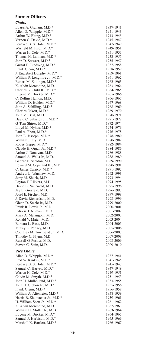#### **Former Officers**

#### *Chairs*

Evarts A. Graham, M.D.\* 1937-1941<br>Allen O. Whipple, M.D.\* 1941-1943 Allen O. Whipple, M.D.\* Arthur W. Elting, M.D.\* 1943-1945<br>
Vernon C. David, M.D.\* 1945-1947 Vernon C. David, M.D.\* 1945-1947<br>
Fordyce B. St. John, M.D.\* 1947-1949 Fordyce B. St. John, M.D.\* 1947-1949<br>Warfield M. Firor M.D.\* 1949-1951 Warfield M. Firor, M.D.\* 1949-1951 Warren H. Cole, M.D.\* 1951-1953<br>Thomas H. Lanman, M.D.\* 1953-1955 Thomas H. Lanman, M.D.\* 1953-1955<br>
John D. Stewart. M.D.\* 1955-1957 John D. Stewart, M.D.\* 1955-1957<br>
Gustaf E. Lindskog. M.D.\* 1957-1958 Gustaf E. Lindskog, M.D.\* 1957-1958<br>Frank Glenn. M.D.\* 1958-1959 Frank Glenn, M.D.\* 1958-1959<br>
I Englebert Dunnhy M D \* 1959-1961 J. Englebert Dunphy, M.D.\* 1959-1961<br>William P. Longmire Jr., M.D.\* 1961-1962 William P. Longmire Jr., M.D.\* 1961-1962<br>Robert M. Zollinger M.D.\* 1962-1963 Robert M. Zollinger, M.D.\* 1962-1963<br>
K. Alvin Merendino, M.D. 1963-1964 K. Alvin Merendino, M.D.<br>Charles G Child III M D<sup>\*</sup> 1964-1965 Charles G. Child III, M.D.\* 1964-1965<br>Eugene M. Bricker, M.D.\* 1965-1966 Eugene M. Bricker, M.D.\* C. Rollins Hanlon, M.D. 1966-1967<br>
William D. Holden, M.D. 1967-1968 William D. Holden,  $M.D.*$  1967-1968<br>John A. Schilling,  $M.D.*$  1968-1969 John A. Schilling, M.D.\* 1968-1969<br>Charles Eckert M D \* 1969-1970 Charles Eckert, M.D.\* 1969-1970<br>John M. Beal. M.D. 1970-1971 John M. Beal, M.D. 1970-1971<br>
David C. Sabiston Jr., M.D.\* 1971-1972 David C. Sabiston Jr., M.D.\* 1971-1972<br>G. Tom Shires. M.D.\* 1972-1974 G. Tom Shires, M.D.\* 1972-1974<br>
Lloyd M. Nyhus M.D.\* 1974-1976 Lloyd M. Nyhus, M.D.\* 1974-1976<br>
Paul A Fhert M D \* 1976-1978 Paul A. Ebert, M.D.\* 1976-1978<br>
John E. Jesseph. M.D.\* 1978-1980 John E. Jesseph, M.D.\* 1978-1980 William J. Fry, M.D. 1980-1982<br>Robert Zenna M.D.\* 1982-1984 Robert Zeppa, M.D.\* 1982-1984<br>Claude H. Organ Jr., M.D.\* 1984-1986 Claude H. Organ Jr., M.D.\* 1984-1986<br>Arthur J. Donovan M.D. 1986-1988 Arthur J. Donovan, M.D.<br>
Samuel A. Wells Jr., M.D. 1988-1989 Samuel A. Wells Jr., M.D. 1988-1989<br>George F. Sheldon, M.D. 1989-1990 George F. Sheldon, M.D.<br>
Fdward M. Coneland III M.D. 1990-1991 Edward M. Copeland III, M.D. 1990-1991<br>C. James Carrico. M.D.\* 1991-1992 C. James Carrico, M.D.\* 1991-1992<br>Andrew L. Warshaw M.D. 1992-1993 Andrew L. Warshaw, M.D. 1992-1993<br>
Jerry M. Shuck, M.D. 1993-1994 Jerry M. Shuck, M.D. 1993-1994 Layton F. Rikkers, M.D.<br>
David L. Nahrwold M.D. 1995-1996 David L. Nahrwold, M.D. 1995-1996<br>
Iav L. Grosfeld M.D. 1996-1997 Jay L. Grosfeld, M.D. 1996-1997 Josef E. Fischer, M.D. 1997-1998 J. David Richardson, M.D. 1998-1999<br>
Glenn D. Steele Jr., M.D. 1999-2000 Glenn D. Steele Jr., M.D. 1999-2000<br>Frank R. Lewis Jr., M.D. 2000-2001 Frank R. Lewis Jr., M.D. Patricia J. Numann, M.D. 2001-2002 Mark A. Malangoni, M.D. 2002-2003 Ronald V. Maier, M.D. 2003-2004 Barbara L. Bass, M.D. 2004-2005 Jeffrey L. Ponsky, M.D.<br>
Courtney M. Townsend Jr., M.D. 2006-2007 Courtney M. Townsend Jr., M.D. 2006-2007<br>
Timothy C. Flynn M.D. 2007-2008 Timothy C. Flynn, M.D.<br>
Russell G. Postier. M.D. 2008-2009 Russell G. Postier, M.D.<br>
Steven C. Stain, M.D.<br>
2009-2010 Steven C. Stain, M.D.

#### *Vice Chairs*

Allen O. Whipple, M.D.\* 1937-1941<br>Fred W. Rankin, M.D.\* 1941-1945 Fred W. Rankin, M.D.\* 1941-1945<br>Fordyce B. St. John, M.D.\* 1945-1947 Fordyce B. St. John, M.D.\* 1945-1947<br>
Samuel C. Harvey. M.D.\* 1947-1949 Samuel C. Harvey, M.D. \* 1947-1949<br>
Warren H. Cole, M.D. \* 1949-1951 Warren H. Cole, M.D.\* Calvin M. Smyth, M.D.\* 1951-1953<br>1951-1953 John H. Mulholland. M.D.\* 1953-1955 John H. Mulholland, M.D.\* 1953-1955 John H. Gibbon Jr., M.D.\* 1955-1956 Frank Glenn, M.D.\* 1956-1958<br>William A. Altemeier. M.D.\* 1958-1959 William A. Altemeier, M.D.\* Harris B. Shumacker Jr., M.D.\* 1959-1961<br>
H. William Scott Jr., M.D.\* 1961-1962 H. William Scott Jr., M.D.\* 1961-1962<br>
K. Alvin Merendino, M.D. 1962-1963 K. Alvin Merendino, M.D. 1962-1963<br>William H. Muller Ir M.D. 1963-1964 William H. Muller Jr., M.D.<br>
Eugene M. Bricker, M.D.\* 1964-1965 Eugene M. Bricker, M.D.\* 1964-1965<br>
Samuel P. Harbison, M.D.\* 1965-1966 Samuel P. Harbison, M.D.\* 1965-1966<br>
Marshall K. Bartlett. M.D.\* 1966-1967 Marshall K. Bartlett, M.D.\*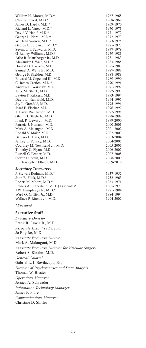William H. Moretz, M.D.\* 1967-1968<br>Charles Eckert. M.D.\* 1968-1969 Charles Eckert, M.D.\* 1968-1969<br>James D. Hardy. M.D.\* 1969-1970 James D. Hardy, M.D.\* 1969-1970<br>
Richard L. Varco, M.D.\* 1970-1971 Richard L. Varco, M.D.\* 1970-1971<br>
David V. Habif. M.D.\* 1971-1972 David V. Habif, M.D.\* 1971-1972<br>George L. Nardi. M.D.\* 1972-1973 George L. Nardi, M.D.\* 1972-1973<br>W. Dean Warren. M.D.\* 1973-1975 W. Dean Warren, M.D. \* 1973-1975<br>George L. Jordan Jr., M.D. \* 1975-1977 George L. Jordan Jr., M.D.\* Seymour I. Schwartz, M.D. 1977-1979<br>
G Rainey Williams M D \* 1979-1981 G. Rainey Williams, M.D.\* 1979-1981<br>Arlie R. Mansberger Jr., M.D. 1981-1983 Arlie R. Mansberger Jr., M.D.<br>Alexander J. Walt. M.D.\* 1983-1985 Alexander J. Walt, M.D.\* 1983-1985<br>
Donald D. Trunkev. M.D. 1985-1987 Donald D. Trunkey, M.D. 1985-1987 Samuel A. Wells Jr., M.D. 1987-1988<br>George F. Sheldon M.D. 1988-1989 George F. Sheldon, M.D. 1988-1989<br>Edward M. Coneland III M.D. 1989-1990 Edward M. Copeland III, M.D. 1989-1990<br>C. James Carrico. M.D.\* 1990-1991 C. James Carrico, M.D. \* 1990-1991<br>Andrew L. Warshaw, M.D. 1991-1992 Andrew L. Warshaw, M.D. 1991-1992<br>Jerry M. Shuck, M.D. 1992-1993 Jerry M. Shuck, M.D. 1992-1993 Layton F. Rikkers, M.D. 1993-1994 David L. Nahrwold, M.D. 1994-1995<br>
Iav L. Grosfeld M.D. 1995-1996 Jay L. Grosfeld, M.D. 1995-1996 Josef E. Fischer, M.D. 1996-1997 J. David Richardson, M.D. 1997-1998<br>
Glenn D. Steele Jr., M.D. 1998-1999 Glenn D. Steele Jr., M.D. 1998-1999<br>Frank R. Lewis Jr., M.D. 1999-2000 Frank R. Lewis Jr., M.D. 1999-2000<br>Patricia I Numann M D 2000-2001 Patricia J. Numann, M.D.<br>
Mark A. Malangoni, M.D. 2001-2002 Mark A. Malangoni, M.D.<br>Ronald V. Maier, M.D. 2002-2003 Ronald V. Maier, M.D.<br>
Barbara L. Bass. M.D.<br>
2003-2004 Barbara L. Bass, M.D. 2003-2004 Jeffrey L. Ponsky, M.D.<br>
Courtney M. Townsend Jr., M.D. 2005-2006 Courtney M. Townsend Jr., M.D. 2005-2006<br>
Timothy C. Flynn. M.D. 2006-2007 Timothy C. Flynn, M.D.<br>
Russell G. Postier, M.D.<br>
2007-2008 Russell G. Postier, M.D. 2007-2008<br>Steven C. Stain, M.D. 2008-2009 Steven C. Stain, M.D.<br>
E. Christopher Ellison, M.D.<br>
2009-2010 E. Christopher Ellison, M.D.

#### *SecretaryTreasurers*

J. Stewart Rodman, M.D.\* 1937-1952 John B. Flick, M.D.\* Robert M. Moore, M.D.\* Francis A. Sutherland, M.D. (Associate)\* J.W. Humphreys Jr., M.D.\* Ward O. Griffen Jr., M.D. Wallace P. Ritchie Jr., M.D.

*\*Deceased*

#### **Executive Staff**

*Executive Director* Frank R. Lewis Jr., M.D. *Associate Executive Director* Jo Buyske, M.D. *Associate Executive Director* Mark A. Malangoni, M.D. *Associate Executive Director for Vascular Surgery* Robert S. Rhodes, M.D. *General Counsel* Gabriel L. I. Bevilacqua, Esq. *Director of Psychometrics and Data Analysis* Thomas W. Biester *Operations Manager* Jessica A. Schreader *Information Technology Manager* James F. Fiore *Communications Manager* Christine D. Shiffer

| 1952-1963 |
|-----------|
| 1963-1971 |
| 1965-1973 |
| 1971-1984 |
| 1984-1994 |
| 1994-2002 |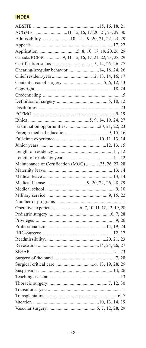# **INDEX**

| ACGME 11, 15, 16, 17, 20, 21, 23, 29, 30           |       |
|----------------------------------------------------|-------|
| Admissibility 10, 11, 19, 20, 21, 22, 23, 29       |       |
|                                                    |       |
|                                                    |       |
| Canada/RCPSC 9, 11, 15, 16, 17, 21, 22, 23, 28, 29 |       |
|                                                    |       |
| Cheating/irregular behavior 14, 18, 24, 26         |       |
|                                                    |       |
|                                                    |       |
|                                                    |       |
|                                                    |       |
|                                                    |       |
|                                                    |       |
|                                                    |       |
|                                                    |       |
| Examination opportunities 20, 21, 22, 23           |       |
|                                                    |       |
|                                                    |       |
|                                                    |       |
|                                                    |       |
|                                                    |       |
| Maintenance of Certification (MOC) 25, 26, 27, 28  |       |
|                                                    |       |
|                                                    |       |
|                                                    |       |
|                                                    |       |
|                                                    |       |
|                                                    |       |
|                                                    |       |
|                                                    |       |
|                                                    |       |
|                                                    |       |
|                                                    |       |
|                                                    |       |
|                                                    |       |
|                                                    |       |
|                                                    | .7.28 |
|                                                    |       |
|                                                    |       |
|                                                    |       |
|                                                    |       |
|                                                    |       |
|                                                    |       |
|                                                    |       |
|                                                    |       |